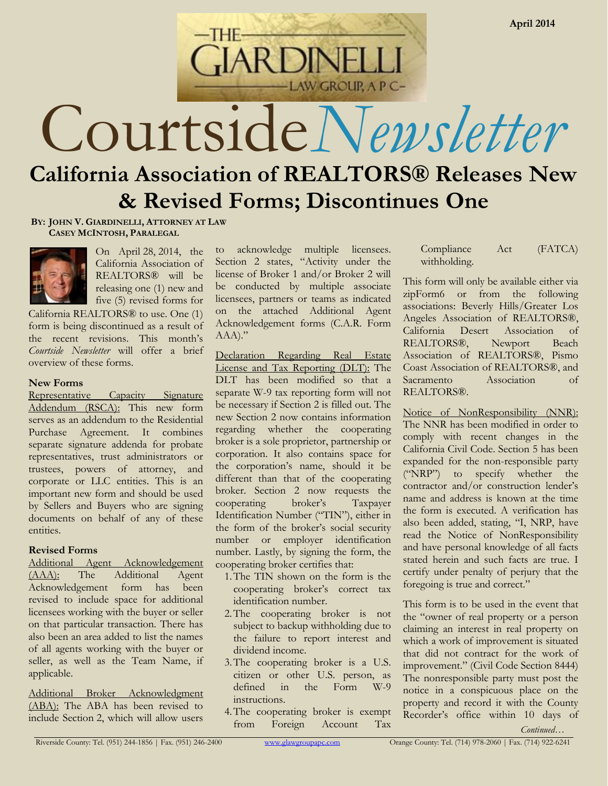Courtside*Newsletter*

# **California Association of REALTORS® Releases New & Revised Forms; Discontinues One**

**ARDINE** 

LAW GROUP, A P C-

**BY: JOHN V. GIARDINELLI, ATTORNEY AT LAW CASEY MCINTOSH, PARALEGAL**



On April 28, 2014, the California Association of REALTORS® will be releasing one (1) new and five (5) revised forms for

California REALTORS® to use. One (1) form is being discontinued as a result of the recent revisions. This month's *Courtside Newsletter* will offer a brief overview of these forms.

## **New Forms**

Representative Capacity Signature Addendum (RSCA): This new form serves as an addendum to the Residential Purchase Agreement. It combines separate signature addenda for probate representatives, trust administrators or trustees, powers of attorney, and corporate or LLC entities. This is an important new form and should be used by Sellers and Buyers who are signing documents on behalf of any of these entities.

# **Revised Forms**

Additional Agent Acknowledgement (AAA): The Additional Agent Acknowledgement form has been revised to include space for additional licensees working with the buyer or seller on that particular transaction. There has also been an area added to list the names of all agents working with the buyer or seller, as well as the Team Name, if applicable.

Additional Broker Acknowledgment (ABA): The ABA has been revised to include Section 2, which will allow users

to acknowledge multiple licensees. Section 2 states, "Activity under the license of Broker 1 and/or Broker 2 will be conducted by multiple associate licensees, partners or teams as indicated on the attached Additional Agent Acknowledgement forms (C.A.R. Form AAA)."

Declaration Regarding Real Estate License and Tax Reporting (DLT): The DLT has been modified so that a separate W-9 tax reporting form will not be necessary if Section 2 is filled out. The new Section 2 now contains information regarding whether the cooperating broker is a sole proprietor, partnership or corporation. It also contains space for the corporation's name, should it be different than that of the cooperating broker. Section 2 now requests the cooperating broker's Taxpayer Identification Number ("TIN"), either in the form of the broker's social security number or employer identification number. Lastly, by signing the form, the cooperating broker certifies that:

- 1.The TIN shown on the form is the cooperating broker's correct tax identification number.
- 2.The cooperating broker is not subject to backup withholding due to the failure to report interest and dividend income.
- 3.The cooperating broker is a U.S. citizen or other U.S. person, as defined in the Form W-9 instructions.
- 4.The cooperating broker is exempt from Foreign Account Tax

Compliance Act (FATCA) withholding.

This form will only be available either via zipForm6 or from the following associations: Beverly Hills/Greater Los Angeles Association of REALTORS®, California Desert Association of REALTORS®, Newport Beach Association of REALTORS®, Pismo Coast Association of REALTORS®, and Sacramento Association of REALTORS®

Notice of NonResponsibility (NNR): The NNR has been modified in order to comply with recent changes in the California Civil Code. Section 5 has been expanded for the non-responsible party ("NRP") to specify whether the contractor and/or construction lender's name and address is known at the time the form is executed. A verification has also been added, stating, "I, NRP, have read the Notice of NonResponsibility and have personal knowledge of all facts stated herein and such facts are true. I certify under penalty of perjury that the foregoing is true and correct."

This form is to be used in the event that the "owner of real property or a person claiming an interest in real property on which a work of improvement is situated that did not contract for the work of improvement." (Civil Code Section 8444) The nonresponsible party must post the notice in a conspicuous place on the property and record it with the County Recorder's office within 10 days of

*Continued…*